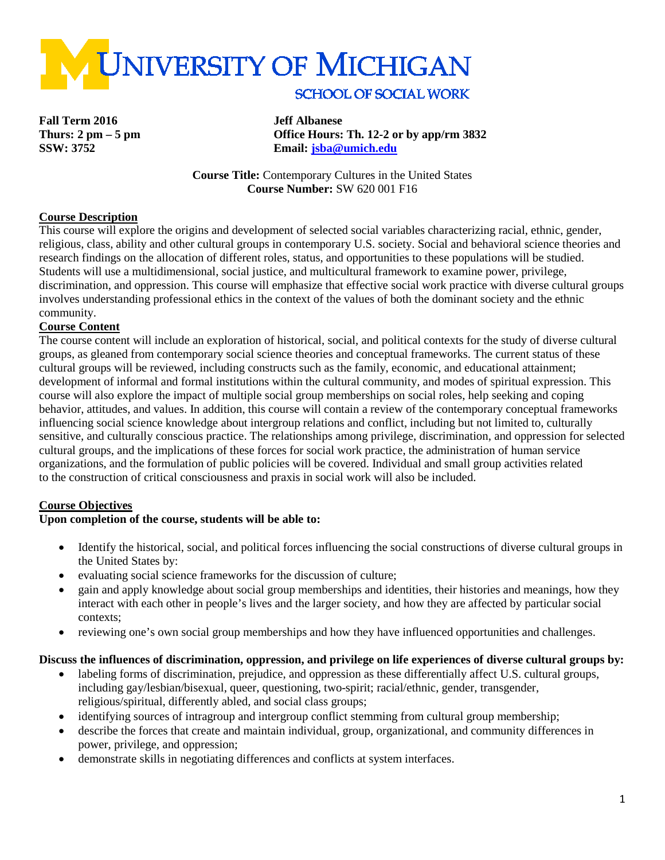

**Fall Term 2016 Jeff Albanese**

**Thurs: 2 pm – 5 pm Office Hours: Th. 12-2 or by app/rm 3832 SSW: 3752 Email: [jsba@umich.edu](mailto:jsba@umich.edu)**

> **Course Title:** Contemporary Cultures in the United States **Course Number:** SW 620 001 F16

## **Course Description**

This course will explore the origins and development of selected social variables characterizing racial, ethnic, gender, religious, class, ability and other cultural groups in contemporary U.S. society. Social and behavioral science theories and research findings on the allocation of different roles, status, and opportunities to these populations will be studied. Students will use a multidimensional, social justice, and multicultural framework to examine power, privilege, discrimination, and oppression. This course will emphasize that effective social work practice with diverse cultural groups involves understanding professional ethics in the context of the values of both the dominant society and the ethnic community.

#### **Course Content**

The course content will include an exploration of historical, social, and political contexts for the study of diverse cultural groups, as gleaned from contemporary social science theories and conceptual frameworks. The current status of these cultural groups will be reviewed, including constructs such as the family, economic, and educational attainment; development of informal and formal institutions within the cultural community, and modes of spiritual expression. This course will also explore the impact of multiple social group memberships on social roles, help seeking and coping behavior, attitudes, and values. In addition, this course will contain a review of the contemporary conceptual frameworks influencing social science knowledge about intergroup relations and conflict, including but not limited to, culturally sensitive, and culturally conscious practice. The relationships among privilege, discrimination, and oppression for selected cultural groups, and the implications of these forces for social work practice, the administration of human service organizations, and the formulation of public policies will be covered. Individual and small group activities related to the construction of critical consciousness and praxis in social work will also be included.

# **Course Objectives**

#### **Upon completion of the course, students will be able to:**

- Identify the historical, social, and political forces influencing the social constructions of diverse cultural groups in the United States by:
- evaluating social science frameworks for the discussion of culture;
- gain and apply knowledge about social group memberships and identities, their histories and meanings, how they interact with each other in people's lives and the larger society, and how they are affected by particular social contexts;
- reviewing one's own social group memberships and how they have influenced opportunities and challenges.

#### **Discuss the influences of discrimination, oppression, and privilege on life experiences of diverse cultural groups by:**

- labeling forms of discrimination, prejudice, and oppression as these differentially affect U.S. cultural groups, including gay/lesbian/bisexual, queer, questioning, two-spirit; racial/ethnic, gender, transgender, religious/spiritual, differently abled, and social class groups;
- identifying sources of intragroup and intergroup conflict stemming from cultural group membership;
- describe the forces that create and maintain individual, group, organizational, and community differences in power, privilege, and oppression;
- demonstrate skills in negotiating differences and conflicts at system interfaces.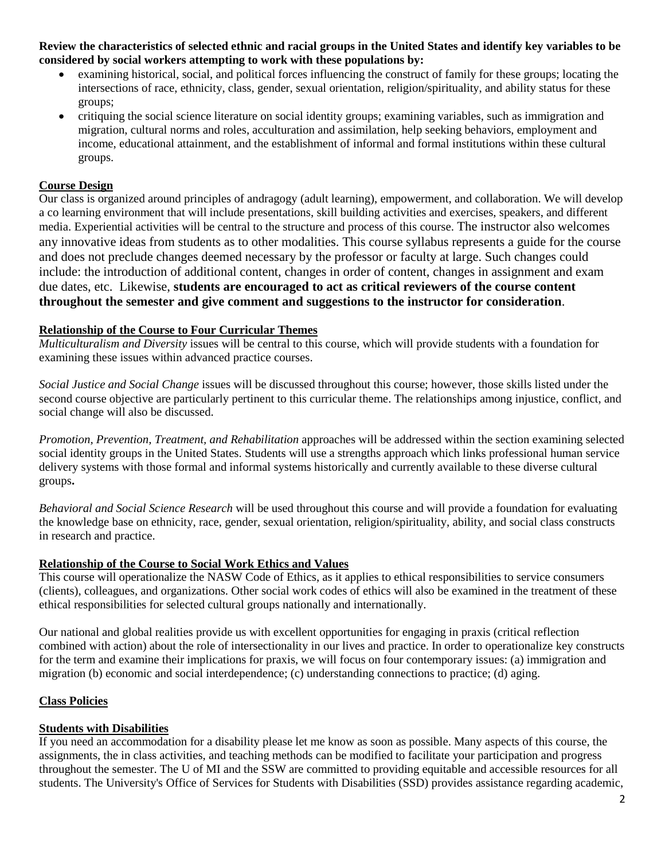**Review the characteristics of selected ethnic and racial groups in the United States and identify key variables to be considered by social workers attempting to work with these populations by:**

- examining historical, social, and political forces influencing the construct of family for these groups; locating the intersections of race, ethnicity, class, gender, sexual orientation, religion/spirituality, and ability status for these groups;
- critiquing the social science literature on social identity groups; examining variables, such as immigration and migration, cultural norms and roles, acculturation and assimilation, help seeking behaviors, employment and income, educational attainment, and the establishment of informal and formal institutions within these cultural groups.

# **Course Design**

Our class is organized around principles of andragogy (adult learning), empowerment, and collaboration. We will develop a co learning environment that will include presentations, skill building activities and exercises, speakers, and different media. Experiential activities will be central to the structure and process of this course. The instructor also welcomes any innovative ideas from students as to other modalities. This course syllabus represents a guide for the course and does not preclude changes deemed necessary by the professor or faculty at large. Such changes could include: the introduction of additional content, changes in order of content, changes in assignment and exam due dates, etc. Likewise, **students are encouraged to act as critical reviewers of the course content throughout the semester and give comment and suggestions to the instructor for consideration**.

# **Relationship of the Course to Four Curricular Themes**

*Multiculturalism and Diversity* issues will be central to this course, which will provide students with a foundation for examining these issues within advanced practice courses.

*Social Justice and Social Change* issues will be discussed throughout this course; however, those skills listed under the second course objective are particularly pertinent to this curricular theme. The relationships among injustice, conflict, and social change will also be discussed.

*Promotion, Prevention, Treatment, and Rehabilitation* approaches will be addressed within the section examining selected social identity groups in the United States. Students will use a strengths approach which links professional human service delivery systems with those formal and informal systems historically and currently available to these diverse cultural groups**.**

*Behavioral and Social Science Research* will be used throughout this course and will provide a foundation for evaluating the knowledge base on ethnicity, race, gender, sexual orientation, religion/spirituality, ability, and social class constructs in research and practice.

# **Relationship of the Course to Social Work Ethics and Values**

This course will operationalize the NASW Code of Ethics, as it applies to ethical responsibilities to service consumers (clients), colleagues, and organizations. Other social work codes of ethics will also be examined in the treatment of these ethical responsibilities for selected cultural groups nationally and internationally.

Our national and global realities provide us with excellent opportunities for engaging in praxis (critical reflection combined with action) about the role of intersectionality in our lives and practice. In order to operationalize key constructs for the term and examine their implications for praxis, we will focus on four contemporary issues: (a) immigration and migration (b) economic and social interdependence; (c) understanding connections to practice; (d) aging.

# **Class Policies**

# **Students with Disabilities**

If you need an accommodation for a disability please let me know as soon as possible. Many aspects of this course, the assignments, the in class activities, and teaching methods can be modified to facilitate your participation and progress throughout the semester. The U of MI and the SSW are committed to providing equitable and accessible resources for all students. The University's Office of Services for Students with Disabilities (SSD) provides assistance regarding academic,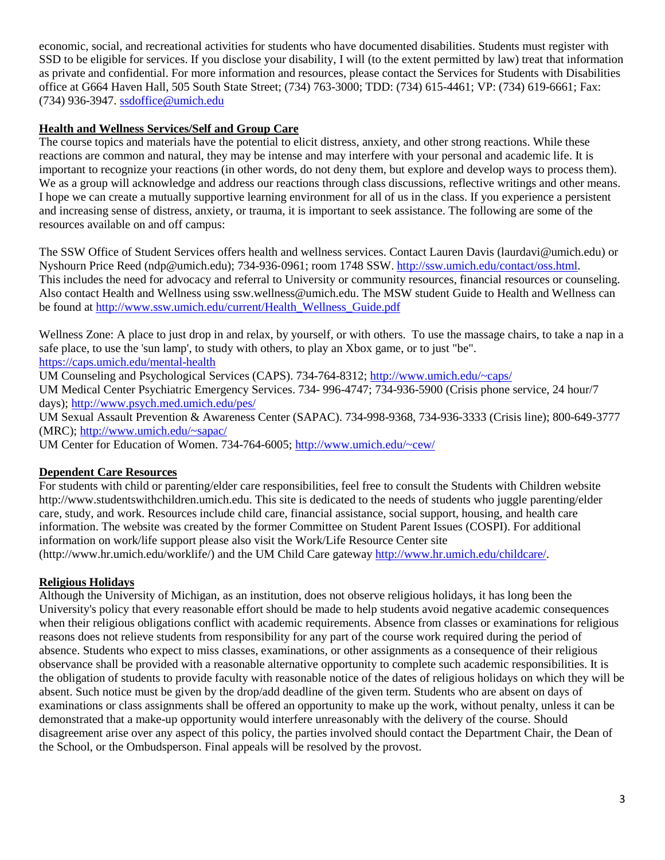economic, social, and recreational activities for students who have documented disabilities. Students must register with SSD to be eligible for services. If you disclose your disability, I will (to the extent permitted by law) treat that information as private and confidential. For more information and resources, please contact the Services for Students with Disabilities office at G664 Haven Hall, 505 South State Street; (734) 763-3000; TDD: (734) 615-4461; VP: (734) 619-6661; Fax: (734) 936-3947. [ssdoffice@umich.edu](mailto:ssdoffice@umich.edu)

# **Health and Wellness Services/Self and Group Care**

The course topics and materials have the potential to elicit distress, anxiety, and other strong reactions. While these reactions are common and natural, they may be intense and may interfere with your personal and academic life. It is important to recognize your reactions (in other words, do not deny them, but explore and develop ways to process them). We as a group will acknowledge and address our reactions through class discussions, reflective writings and other means. I hope we can create a mutually supportive learning environment for all of us in the class. If you experience a persistent and increasing sense of distress, anxiety, or trauma, it is important to seek assistance. The following are some of the resources available on and off campus:

The SSW Office of Student Services offers health and wellness services. Contact Lauren Davis (laurdavi@umich.edu) or Nyshourn Price Reed (ndp@umich.edu); 734-936‐0961; room 1748 SSW. [http://ssw.umich.edu/contact/oss.html.](http://ssw.umich.edu/contact/oss.html) This includes the need for advocacy and referral to University or community resources, financial resources or counseling. Also contact Health and Wellness using ssw.wellness@umich.edu. The MSW student Guide to Health and Wellness can be found at [http://www.ssw.umich.edu/current/Health\\_Wellness\\_Guide.pdf](http://www.ssw.umich.edu/current/Health_Wellness_Guide.pdf) 

Wellness Zone: A place to just drop in and relax, by yourself, or with others. To use the massage chairs, to take a nap in a safe place, to use the 'sun lamp', to study with others, to play an Xbox game, or to just "be". <https://caps.umich.edu/mental-health>

UM Counseling and Psychological Services (CAPS). 734-764-8312; [http://www.umich.edu/~caps/](http://www.umich.edu/%7Ecaps/)

UM Medical Center Psychiatric Emergency Services. 734- 996-4747; 734-936-5900 (Crisis phone service, 24 hour/7 days);<http://www.psych.med.umich.edu/pes/>

UM Sexual Assault Prevention & Awareness Center (SAPAC). 734-998-9368, 734-936-3333 (Crisis line); 800-649-3777 (MRC); [http://www.umich.edu/~sapac/](http://www.umich.edu/%7Esapac/)

UM Center for Education of Women. 734-764-6005; [http://www.umich.edu/~cew/](http://www.umich.edu/%7Ecew/)

# **Dependent Care Resources**

For students with child or parenting/elder care responsibilities, feel free to consult the Students with Children website http://www.studentswithchildren.umich.edu. This site is dedicated to the needs of students who juggle parenting/elder care, study, and work. Resources include child care, financial assistance, social support, housing, and health care information. The website was created by the former Committee on Student Parent Issues (COSPI). For additional information on work/life support please also visit the Work/Life Resource Center site

(http://www.hr.umich.edu/worklife/) and the UM Child Care gateway [http://www.hr.umich.edu/childcare/.](http://www.hr.umich.edu/childcare/)

# **Religious Holidays**

Although the University of Michigan, as an institution, does not observe religious holidays, it has long been the University's policy that every reasonable effort should be made to help students avoid negative academic consequences when their religious obligations conflict with academic requirements. Absence from classes or examinations for religious reasons does not relieve students from responsibility for any part of the course work required during the period of absence. Students who expect to miss classes, examinations, or other assignments as a consequence of their religious observance shall be provided with a reasonable alternative opportunity to complete such academic responsibilities. It is the obligation of students to provide faculty with reasonable notice of the dates of religious holidays on which they will be absent. Such notice must be given by the drop/add deadline of the given term. Students who are absent on days of examinations or class assignments shall be offered an opportunity to make up the work, without penalty, unless it can be demonstrated that a make-up opportunity would interfere unreasonably with the delivery of the course. Should disagreement arise over any aspect of this policy, the parties involved should contact the Department Chair, the Dean of the School, or the Ombudsperson. Final appeals will be resolved by the provost.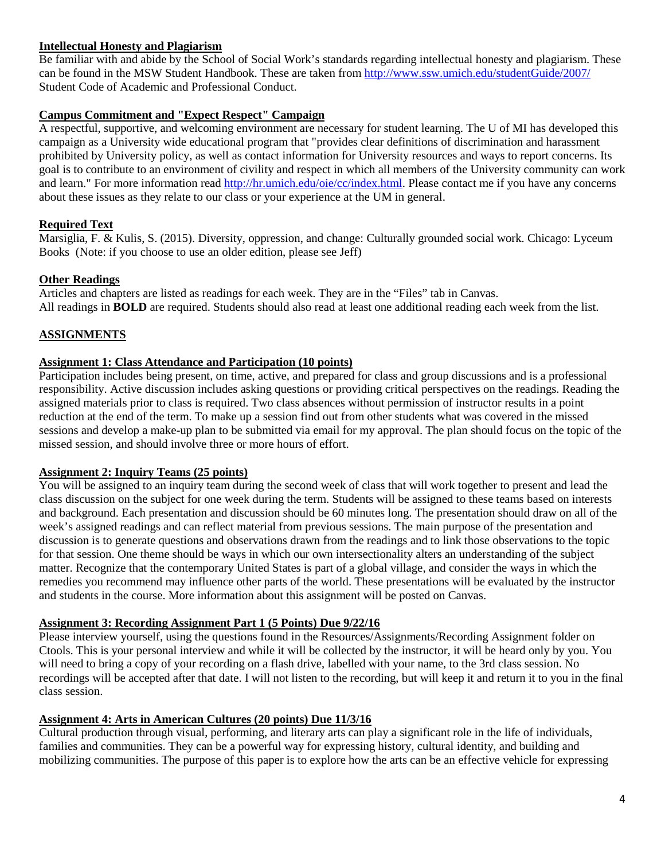# **Intellectual Honesty and Plagiarism**

Be familiar with and abide by the School of Social Work's standards regarding intellectual honesty and plagiarism. These can be found in the MSW Student Handbook. These are taken fro[m http://www.ssw.umich.edu/studentGuide/2007/](http://www.ssw.umich.edu/studentGuide/2007/) Student Code of Academic and Professional Conduct.

#### **Campus Commitment and "Expect Respect" Campaign**

A respectful, supportive, and welcoming environment are necessary for student learning. The U of MI has developed this campaign as a University wide educational program that "provides clear definitions of discrimination and harassment prohibited by University policy, as well as contact information for University resources and ways to report concerns. Its goal is to contribute to an environment of civility and respect in which all members of the University community can work and learn." For more information read [http://hr.umich.edu/oie/cc/index.html.](http://hr.umich.edu/oie/cc/index.html) Please contact me if you have any concerns about these issues as they relate to our class or your experience at the UM in general.

# **Required Text**

Marsiglia, F. & Kulis, S. (2015). Diversity, oppression, and change: Culturally grounded social work. Chicago: Lyceum Books (Note: if you choose to use an older edition, please see Jeff)

## **Other Readings**

Articles and chapters are listed as readings for each week. They are in the "Files" tab in Canvas. All readings in **BOLD** are required. Students should also read at least one additional reading each week from the list.

# **ASSIGNMENTS**

## **Assignment 1: Class Attendance and Participation (10 points)**

Participation includes being present, on time, active, and prepared for class and group discussions and is a professional responsibility. Active discussion includes asking questions or providing critical perspectives on the readings. Reading the assigned materials prior to class is required. Two class absences without permission of instructor results in a point reduction at the end of the term. To make up a session find out from other students what was covered in the missed sessions and develop a make-up plan to be submitted via email for my approval. The plan should focus on the topic of the missed session, and should involve three or more hours of effort.

#### **Assignment 2: Inquiry Teams (25 points)**

You will be assigned to an inquiry team during the second week of class that will work together to present and lead the class discussion on the subject for one week during the term. Students will be assigned to these teams based on interests and background. Each presentation and discussion should be 60 minutes long. The presentation should draw on all of the week's assigned readings and can reflect material from previous sessions. The main purpose of the presentation and discussion is to generate questions and observations drawn from the readings and to link those observations to the topic for that session. One theme should be ways in which our own intersectionality alters an understanding of the subject matter. Recognize that the contemporary United States is part of a global village, and consider the ways in which the remedies you recommend may influence other parts of the world. These presentations will be evaluated by the instructor and students in the course. More information about this assignment will be posted on Canvas.

## **Assignment 3: Recording Assignment Part 1 (5 Points) Due 9/22/16**

Please interview yourself, using the questions found in the Resources/Assignments/Recording Assignment folder on Ctools. This is your personal interview and while it will be collected by the instructor, it will be heard only by you. You will need to bring a copy of your recording on a flash drive, labelled with your name, to the 3rd class session. No recordings will be accepted after that date. I will not listen to the recording, but will keep it and return it to you in the final class session.

## **Assignment 4: Arts in American Cultures (20 points) Due 11/3/16**

Cultural production through visual, performing, and literary arts can play a significant role in the life of individuals, families and communities. They can be a powerful way for expressing history, cultural identity, and building and mobilizing communities. The purpose of this paper is to explore how the arts can be an effective vehicle for expressing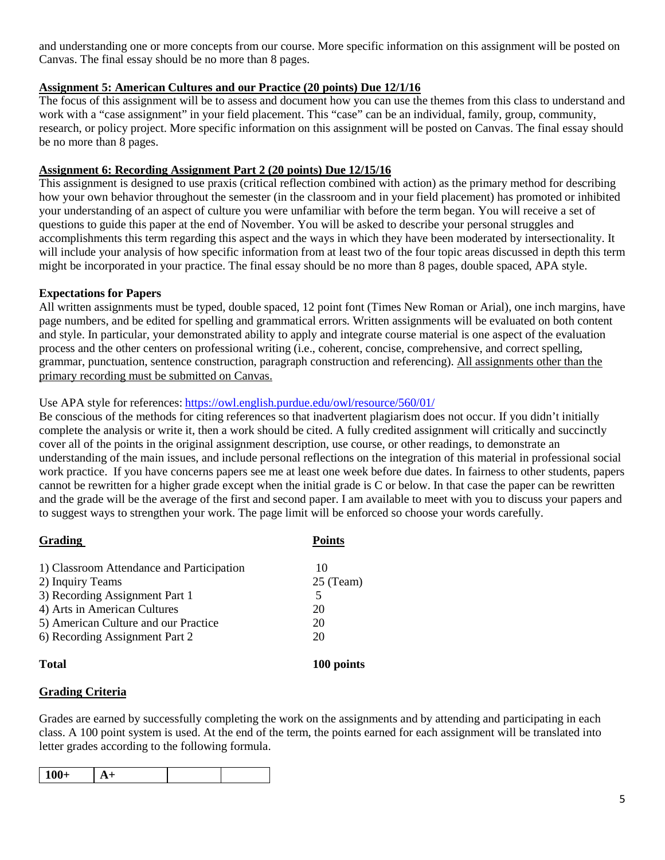and understanding one or more concepts from our course. More specific information on this assignment will be posted on Canvas. The final essay should be no more than 8 pages.

# **Assignment 5: American Cultures and our Practice (20 points) Due 12/1/16**

The focus of this assignment will be to assess and document how you can use the themes from this class to understand and work with a "case assignment" in your field placement. This "case" can be an individual, family, group, community, research, or policy project. More specific information on this assignment will be posted on Canvas. The final essay should be no more than 8 pages.

## **Assignment 6: Recording Assignment Part 2 (20 points) Due 12/15/16**

This assignment is designed to use praxis (critical reflection combined with action) as the primary method for describing how your own behavior throughout the semester (in the classroom and in your field placement) has promoted or inhibited your understanding of an aspect of culture you were unfamiliar with before the term began. You will receive a set of questions to guide this paper at the end of November. You will be asked to describe your personal struggles and accomplishments this term regarding this aspect and the ways in which they have been moderated by intersectionality. It will include your analysis of how specific information from at least two of the four topic areas discussed in depth this term might be incorporated in your practice. The final essay should be no more than 8 pages, double spaced, APA style.

## **Expectations for Papers**

All written assignments must be typed, double spaced, 12 point font (Times New Roman or Arial), one inch margins, have page numbers, and be edited for spelling and grammatical errors. Written assignments will be evaluated on both content and style. In particular, your demonstrated ability to apply and integrate course material is one aspect of the evaluation process and the other centers on professional writing (i.e., coherent, concise, comprehensive, and correct spelling, grammar, punctuation, sentence construction, paragraph construction and referencing). All assignments other than the primary recording must be submitted on Canvas.

## Use APA style for references: <https://owl.english.purdue.edu/owl/resource/560/01/>

Be conscious of the methods for citing references so that inadvertent plagiarism does not occur. If you didn't initially complete the analysis or write it, then a work should be cited. A fully credited assignment will critically and succinctly cover all of the points in the original assignment description, use course, or other readings, to demonstrate an understanding of the main issues, and include personal reflections on the integration of this material in professional social work practice. If you have concerns papers see me at least one week before due dates. In fairness to other students, papers cannot be rewritten for a higher grade except when the initial grade is C or below. In that case the paper can be rewritten and the grade will be the average of the first and second paper. I am available to meet with you to discuss your papers and to suggest ways to strengthen your work. The page limit will be enforced so choose your words carefully.

| <b>Grading</b>                            | <b>Points</b> |
|-------------------------------------------|---------------|
| 1) Classroom Attendance and Participation | 10            |
| 2) Inquiry Teams                          | $25$ (Team)   |
| 3) Recording Assignment Part 1            | 5             |
| 4) Arts in American Cultures              | 20            |
| 5) American Culture and our Practice      | 20            |
| 6) Recording Assignment Part 2            | 20            |
| <b>Total</b>                              | 100 points    |

#### **Grading Criteria**

Grades are earned by successfully completing the work on the assignments and by attending and participating in each class. A 100 point system is used. At the end of the term, the points earned for each assignment will be translated into letter grades according to the following formula.

| $100+$ |  |  |  |
|--------|--|--|--|
|--------|--|--|--|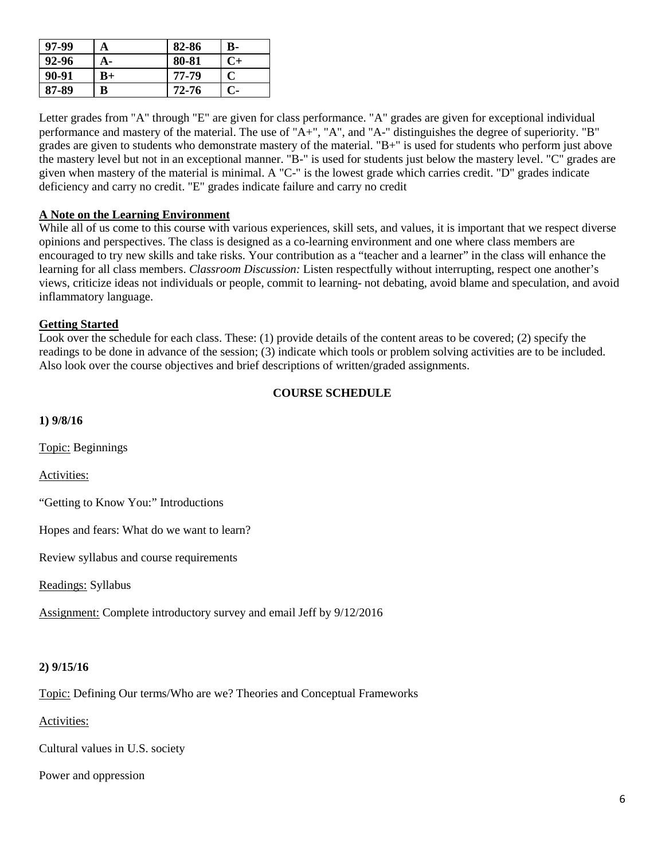| 97-99 | A  | 82-86 | <b>B-</b> |
|-------|----|-------|-----------|
| 92-96 | А- | 80-81 | $C+$      |
| 90-91 | B+ | 77-79 | C         |
| 87-89 | в  | 72-76 | $C-$      |

Letter grades from "A" through "E" are given for class performance. "A" grades are given for exceptional individual performance and mastery of the material. The use of "A+", "A", and "A-" distinguishes the degree of superiority. "B" grades are given to students who demonstrate mastery of the material. "B+" is used for students who perform just above the mastery level but not in an exceptional manner. "B-" is used for students just below the mastery level. "C" grades are given when mastery of the material is minimal. A "C-" is the lowest grade which carries credit. "D" grades indicate deficiency and carry no credit. "E" grades indicate failure and carry no credit

## **A Note on the Learning Environment**

While all of us come to this course with various experiences, skill sets, and values, it is important that we respect diverse opinions and perspectives. The class is designed as a co-learning environment and one where class members are encouraged to try new skills and take risks. Your contribution as a "teacher and a learner" in the class will enhance the learning for all class members. *Classroom Discussion:* Listen respectfully without interrupting, respect one another's views, criticize ideas not individuals or people, commit to learning- not debating, avoid blame and speculation, and avoid inflammatory language.

#### **Getting Started**

Look over the schedule for each class. These: (1) provide details of the content areas to be covered; (2) specify the readings to be done in advance of the session; (3) indicate which tools or problem solving activities are to be included. Also look over the course objectives and brief descriptions of written/graded assignments.

# **COURSE SCHEDULE**

**1) 9/8/16**

Topic: Beginnings

Activities:

"Getting to Know You:" Introductions

Hopes and fears: What do we want to learn?

Review syllabus and course requirements

Readings: Syllabus

Assignment: Complete introductory survey and email Jeff by 9/12/2016

#### **2) 9/15/16**

Topic: Defining Our terms/Who are we? Theories and Conceptual Frameworks

Activities:

Cultural values in U.S. society

Power and oppression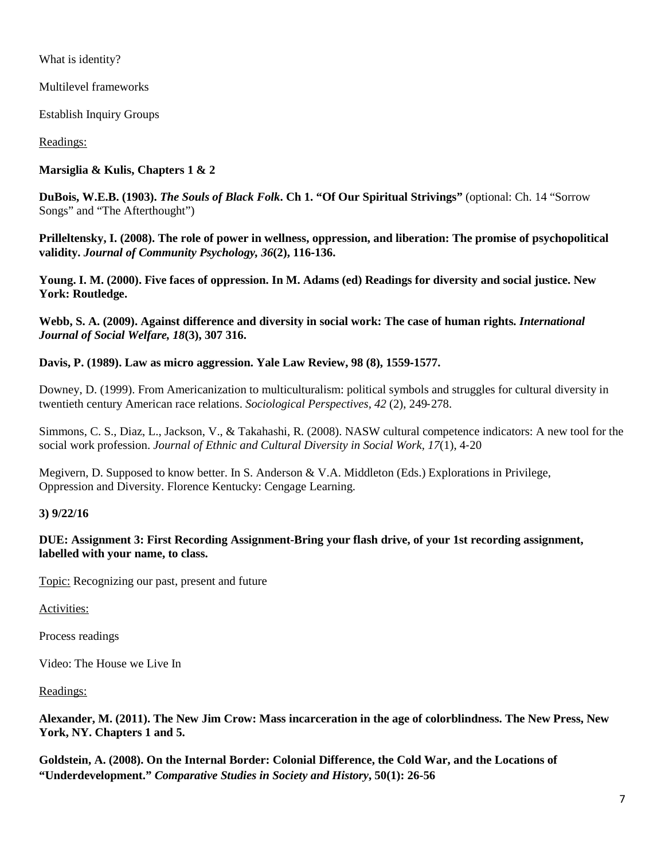What is identity?

Multilevel frameworks

Establish Inquiry Groups

# Readings:

# **Marsiglia & Kulis, Chapters 1 & 2**

**DuBois, W.E.B. (1903).** *The Souls of Black Folk***. Ch 1. "Of Our Spiritual Strivings"** (optional: Ch. 14 "Sorrow Songs" and "The Afterthought")

**Prilleltensky, I. (2008). The role of power in wellness, oppression, and liberation: The promise of psychopolitical validity.** *Journal of Community Psychology, 36***(2), 116**‐**136.**

**Young. I. M. (2000). Five faces of oppression. In M. Adams (ed) Readings for diversity and social justice. New York: Routledge.**

**Webb, S. A. (2009). Against difference and diversity in social work: The case of human rights.** *International Journal of Social Welfare, 18***(3), 307 316.**

# **Davis, P. (1989). Law as micro aggression. Yale Law Review, 98 (8), 1559**‐**1577.**

Downey, D. (1999). From Americanization to multiculturalism: political symbols and struggles for cultural diversity in twentieth century American race relations. *Sociological Perspectives, 42* (2), 249‐278.

Simmons, C. S., Diaz, L., Jackson, V., & Takahashi, R. (2008). NASW cultural competence indicators: A new tool for the social work profession. *Journal of Ethnic and Cultural Diversity in Social Work, 17*(1), 4‐20

Megivern, D. Supposed to know better. In S. Anderson & V.A. Middleton (Eds.) Explorations in Privilege, Oppression and Diversity. Florence Kentucky: Cengage Learning.

# **3) 9/22/16**

**DUE: Assignment 3: First Recording Assignment-Bring your flash drive, of your 1st recording assignment, labelled with your name, to class.** 

Topic: Recognizing our past, present and future

Activities:

Process readings

Video: The House we Live In

Readings:

**Alexander, M. (2011). The New Jim Crow: Mass incarceration in the age of colorblindness. The New Press, New York, NY. Chapters 1 and 5.** 

**Goldstein, A. (2008). On the Internal Border: Colonial Difference, the Cold War, and the Locations of "Underdevelopment."** *Comparative Studies in Society and History***, 50(1): 26-56**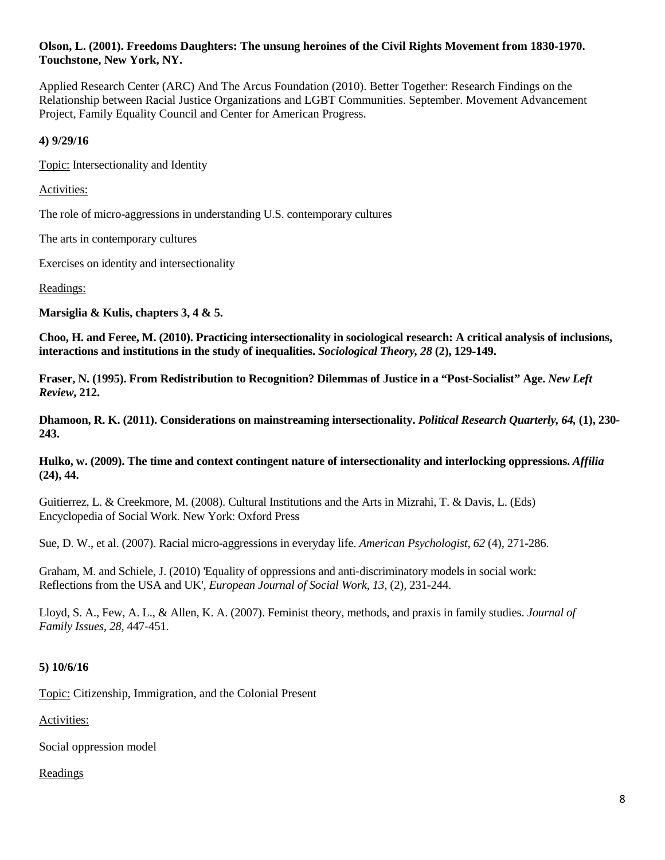#### **Olson, L. (2001). Freedoms Daughters: The unsung heroines of the Civil Rights Movement from 1830-1970. Touchstone, New York, NY.**

Applied Research Center (ARC) And The Arcus Foundation (2010). Better Together: Research Findings on the Relationship between Racial Justice Organizations and LGBT Communities. September. Movement Advancement Project, Family Equality Council and Center for American Progress.

#### **4) 9/29/16**

Topic: Intersectionality and Identity

Activities:

The role of micro-aggressions in understanding U.S. contemporary cultures

The arts in contemporary cultures

Exercises on identity and intersectionality

#### Readings:

**Marsiglia & Kulis, chapters 3, 4 & 5.**

**Choo, H. and Feree, M. (2010). Practicing intersectionality in sociological research: A critical analysis of inclusions, interactions and institutions in the study of inequalities.** *Sociological Theory, 28* **(2), 129**‐**149.**

**Fraser, N. (1995). From Redistribution to Recognition? Dilemmas of Justice in a "Post-Socialist" Age.** *New Left Review***, 212.** 

**Dhamoon, R. K. (2011). Considerations on mainstreaming intersectionality.** *Political Research Quarterly, 64,* **(1), 230- 243.**

**Hulko, w. (2009). The time and context contingent nature of intersectionality and interlocking oppressions.** *Affilia* **(24), 44.**

Guitierrez, L. & Creekmore, M. (2008). Cultural Institutions and the Arts in Mizrahi, T. & Davis, L. (Eds) Encyclopedia of Social Work. New York: Oxford Press

Sue, D. W., et al. (2007). Racial micro-aggressions in everyday life. *American Psychologist, 62* (4), 271-286.

Graham, M. and Schiele, J. (2010) 'Equality of oppressions and anti-discriminatory models in social work: Reflections from the USA and UK', *European Journal of Social Work, 13,* (2), 231-244.

Lloyd, S. A., Few, A. L., & Allen, K. A. (2007). Feminist theory, methods, and praxis in family studies. *Journal of Family Issues, 28,* 447‐451.

# **5) 10/6/16**

Topic: Citizenship, Immigration, and the Colonial Present

Activities:

Social oppression model

# Readings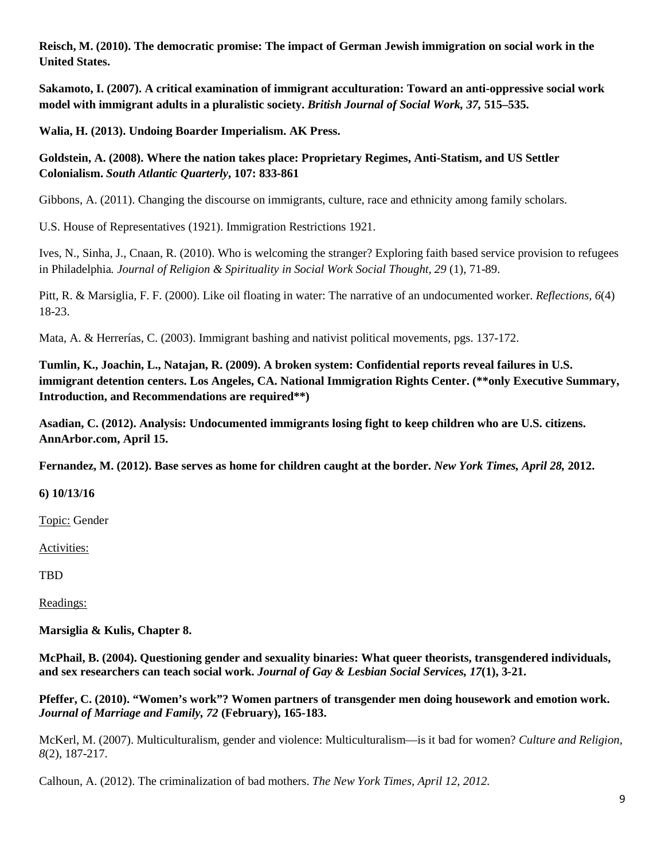**Reisch, M. (2010). The democratic promise: The impact of German Jewish immigration on social work in the United States.** 

**Sakamoto, I. (2007). A critical examination of immigrant acculturation: Toward an anti-oppressive social work model with immigrant adults in a pluralistic society.** *British Journal of Social Work, 37,* **515–535.**

**Walia, H. (2013). Undoing Boarder Imperialism. AK Press.**

**Goldstein, A. (2008). Where the nation takes place: Proprietary Regimes, Anti-Statism, and US Settler Colonialism.** *South Atlantic Quarterly***, 107: 833-861**

Gibbons, A. (2011). Changing the discourse on immigrants, culture, race and ethnicity among family scholars.

U.S. House of Representatives (1921). Immigration Restrictions 1921.

Ives, N., Sinha, J., Cnaan, R. (2010). Who is welcoming the stranger? Exploring faith based service provision to refugees in Philadelphia*. Journal of Religion & Spirituality in Social Work Social Thought, 29* (1), 71-89.

Pitt, R. & Marsiglia, F. F. (2000). Like oil floating in water: The narrative of an undocumented worker. *Reflections, 6*(4) 18-23.

Mata, A. & Herrerías, C. (2003). Immigrant bashing and nativist political movements, pgs. 137-172.

**Tumlin, K., Joachin, L., Natajan, R. (2009). A broken system: Confidential reports reveal failures in U.S. immigrant detention centers. Los Angeles, CA. National Immigration Rights Center. (\*\*only Executive Summary, Introduction, and Recommendations are required\*\*)**

**Asadian, C. (2012). Analysis: Undocumented immigrants losing fight to keep children who are U.S. citizens. AnnArbor.com, April 15.** 

**Fernandez, M. (2012). Base serves as home for children caught at the border.** *New York Times, April 28,* **2012.**

**6) 10/13/16**

Topic: Gender

Activities:

TBD

Readings:

**Marsiglia & Kulis, Chapter 8.**

**McPhail, B. (2004). Questioning gender and sexuality binaries: What queer theorists, transgendered individuals, and sex researchers can teach social work.** *Journal of Gay & Lesbian Social Services, 17***(1), 3-21.**

**Pfeffer, C. (2010). "Women's work"? Women partners of transgender men doing housework and emotion work.**  *Journal of Marriage and Family, 72* **(February), 165-183.**

McKerl, M. (2007). Multiculturalism, gender and violence: Multiculturalism—is it bad for women? *Culture and Religion, 8*(2), 187-217.

Calhoun, A. (2012). The criminalization of bad mothers. *The New York Times, April 12, 2012.*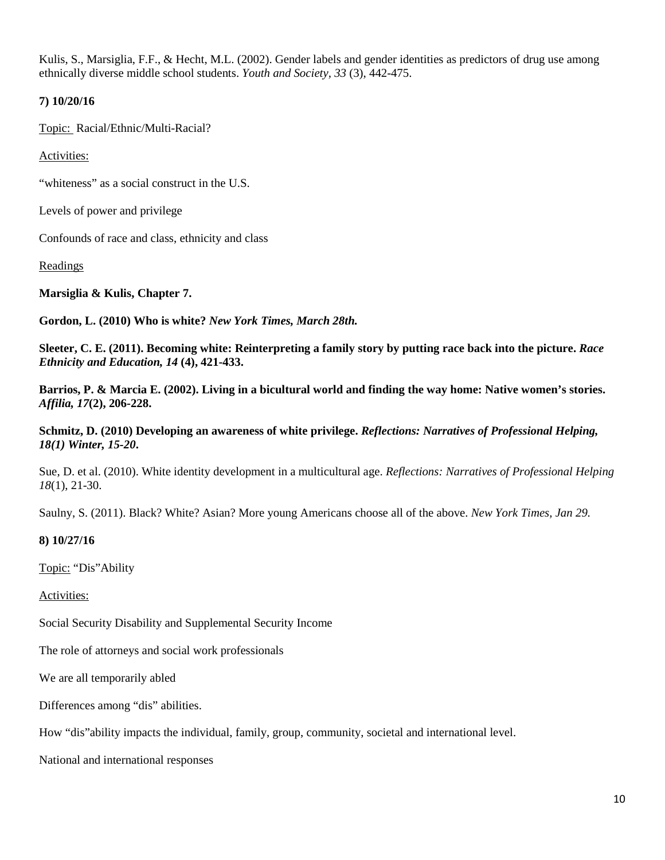Kulis, S., Marsiglia, F.F., & Hecht, M.L. (2002). Gender labels and gender identities as predictors of drug use among ethnically diverse middle school students. *Youth and Society, 33* (3), 442-475.

## **7) 10/20/16**

Topic: Racial/Ethnic/Multi-Racial?

Activities:

"whiteness" as a social construct in the U.S.

Levels of power and privilege

Confounds of race and class, ethnicity and class

Readings

**Marsiglia & Kulis, Chapter 7.**

**Gordon, L. (2010) Who is white?** *New York Times, March 28th.*

**Sleeter, C. E. (2011). Becoming white: Reinterpreting a family story by putting race back into the picture.** *Race Ethnicity and Education, 14* **(4), 421-433.**

**Barrios, P. & Marcia E. (2002). Living in a bicultural world and finding the way home: Native women's stories.** *Affilia, 17***(2), 206-228.**

**Schmitz, D. (2010) Developing an awareness of white privilege.** *Reflections: Narratives of Professional Helping, 18(1) Winter, 15-20***.** 

Sue, D. et al. (2010). White identity development in a multicultural age. *Reflections: Narratives of Professional Helping 18*(1), 21-30.

Saulny, S. (2011). Black? White? Asian? More young Americans choose all of the above. *New York Times, Jan 29.*

#### **8) 10/27/16**

Topic: "Dis"Ability

Activities:

Social Security Disability and Supplemental Security Income

The role of attorneys and social work professionals

We are all temporarily abled

Differences among "dis" abilities.

How "dis"ability impacts the individual, family, group, community, societal and international level.

National and international responses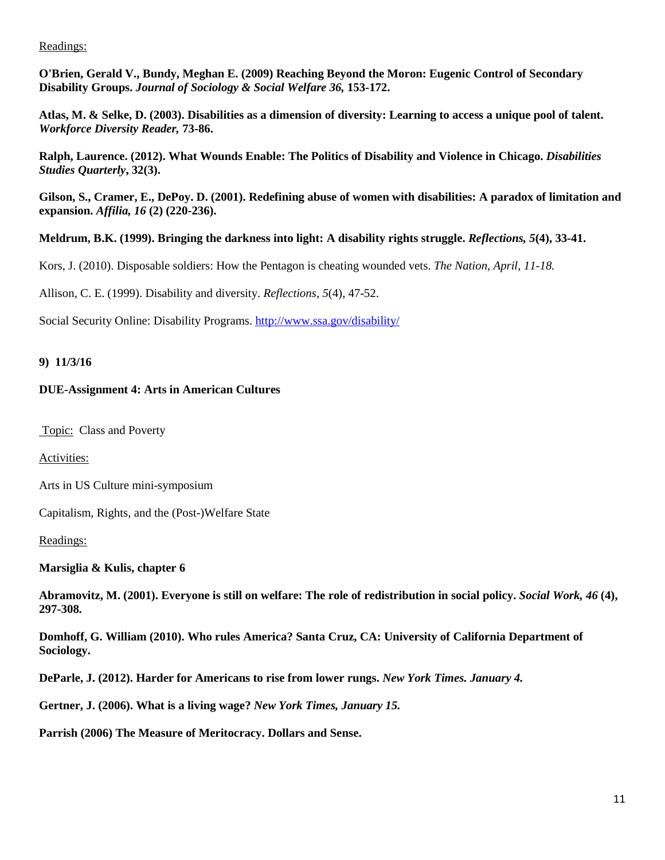## Readings:

**O'Brien, Gerald V., Bundy, Meghan E. (2009) Reaching Beyond the Moron: Eugenic Control of Secondary Disability Groups.** *Journal of Sociology & Social Welfare 36,* **153-172.**

**Atlas, M. & Selke, D. (2003). Disabilities as a dimension of diversity: Learning to access a unique pool of talent.** *Workforce Diversity Reader,* **73-86.**

**Ralph, Laurence. (2012). What Wounds Enable: The Politics of Disability and Violence in Chicago.** *Disabilities Studies Quarterly***, 32(3).** 

**Gilson, S., Cramer, E., DePoy. D. (2001). Redefining abuse of women with disabilities: A paradox of limitation and expansion.** *Affilia, 16* **(2) (220-236).**

**Meldrum, B.K. (1999). Bringing the darkness into light: A disability rights struggle.** *Reflections, 5***(4), 33-41.**

Kors, J. (2010). Disposable soldiers: How the Pentagon is cheating wounded vets. *The Nation, April, 11-18.*

Allison, C. E. (1999). Disability and diversity. *Reflections, 5*(4), 47-52.

Social Security Online: Disability Programs.<http://www.ssa.gov/disability/>

## **9) 11/3/16**

## **DUE-Assignment 4: Arts in American Cultures**

Topic: Class and Poverty

Activities:

Arts in US Culture mini-symposium

Capitalism, Rights, and the (Post-)Welfare State

Readings:

**Marsiglia & Kulis, chapter 6**

**Abramovitz, M. (2001). Everyone is still on welfare: The role of redistribution in social policy.** *Social Work, 46* **(4), 297-308.**

**Domhoff, G. William (2010). Who rules America? Santa Cruz, CA: University of California Department of Sociology.**

**DeParle, J. (2012). Harder for Americans to rise from lower rungs.** *New York Times. January 4.*

**Gertner, J. (2006). What is a living wage?** *New York Times, January 15.*

**Parrish (2006) The Measure of Meritocracy. Dollars and Sense.**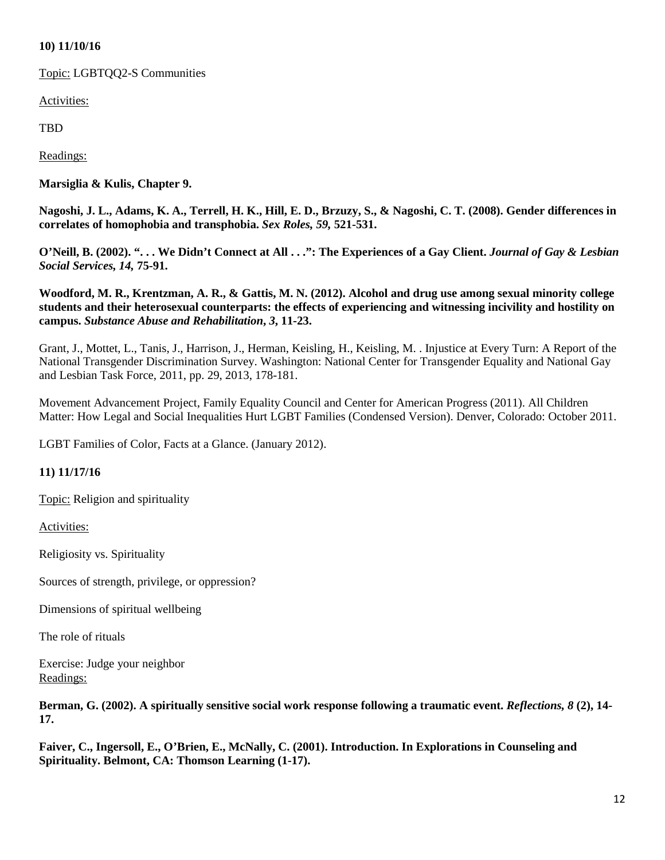## **10) 11/10/16**

Topic: LGBTQQ2-S Communities

Activities:

TBD

Readings:

**Marsiglia & Kulis, Chapter 9.**

**Nagoshi, J. L., Adams, K. A., Terrell, H. K., Hill, E. D., Brzuzy, S., & Nagoshi, C. T. (2008). Gender differences in correlates of homophobia and transphobia.** *Sex Roles, 59,* **521-531.**

**O'Neill, B. (2002). ". . . We Didn't Connect at All . . .": The Experiences of a Gay Client.** *Journal of Gay & Lesbian Social Services, 14,* **75-91.**

**Woodford, M. R., Krentzman, A. R., & Gattis, M. N. (2012). Alcohol and drug use among sexual minority college students and their heterosexual counterparts: the effects of experiencing and witnessing incivility and hostility on campus.** *Substance Abuse and Rehabilitation***,** *3***, 11-23.**

Grant, J., Mottet, L., Tanis, J., Harrison, J., Herman, Keisling, H., Keisling, M. . Injustice at Every Turn: A Report of the National Transgender Discrimination Survey. Washington: National Center for Transgender Equality and National Gay and Lesbian Task Force, 2011, pp. 29, 2013, 178-181.

Movement Advancement Project, Family Equality Council and Center for American Progress (2011). All Children Matter: How Legal and Social Inequalities Hurt LGBT Families (Condensed Version). Denver, Colorado: October 2011.

LGBT Families of Color, Facts at a Glance. (January 2012).

# **11) 11/17/16**

Topic: Religion and spirituality

Activities:

Religiosity vs. Spirituality

Sources of strength, privilege, or oppression?

Dimensions of spiritual wellbeing

The role of rituals

Exercise: Judge your neighbor Readings:

**Berman, G. (2002). A spiritually sensitive social work response following a traumatic event.** *Reflections, 8* **(2), 14- 17.**

**Faiver, C., Ingersoll, E., O'Brien, E., McNally, C. (2001). Introduction. In Explorations in Counseling and Spirituality. Belmont, CA: Thomson Learning (1-17).**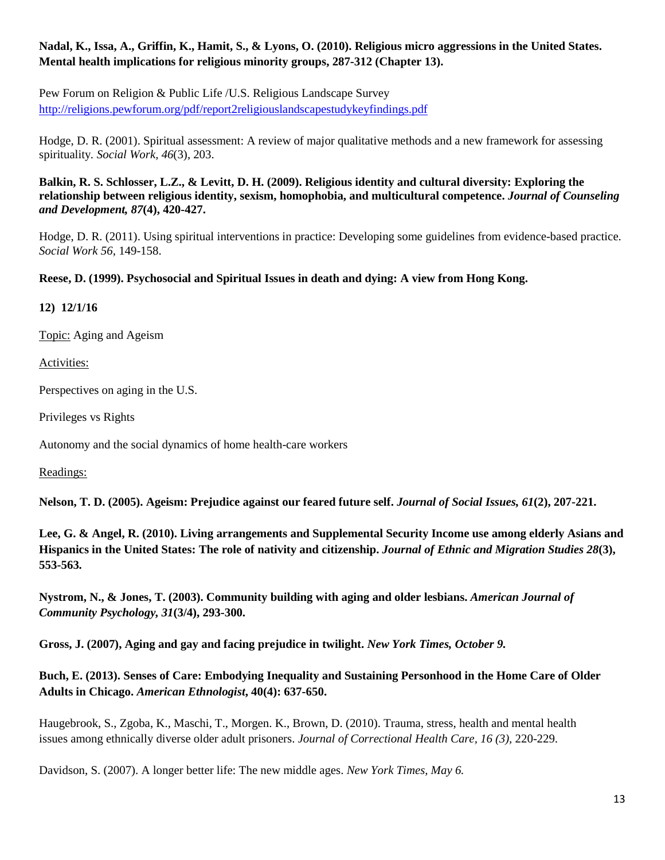# **Nadal, K., Issa, A., Griffin, K., Hamit, S., & Lyons, O. (2010). Religious micro aggressions in the United States. Mental health implications for religious minority groups, 287-312 (Chapter 13).**

Pew Forum on Religion & Public Life /U.S. Religious Landscape Survey <http://religions.pewforum.org/pdf/report2religiouslandscapestudykeyfindings.pdf>

Hodge, D. R. (2001). Spiritual assessment: A review of major qualitative methods and a new framework for assessing spirituality*. Social Work, 46*(3), 203.

**Balkin, R. S. Schlosser, L.Z., & Levitt, D. H. (2009). Religious identity and cultural diversity: Exploring the relationship between religious identity, sexism, homophobia, and multicultural competence.** *Journal of Counseling and Development, 87***(4), 420-427.**

Hodge, D. R. (2011). Using spiritual interventions in practice: Developing some guidelines from evidence-based practice. *Social Work 56*, 149-158.

# **Reese, D. (1999). Psychosocial and Spiritual Issues in death and dying: A view from Hong Kong.**

**12) 12/1/16**

Topic: Aging and Ageism

Activities:

Perspectives on aging in the U.S.

Privileges vs Rights

Autonomy and the social dynamics of home health-care workers

Readings:

**Nelson, T. D. (2005). Ageism: Prejudice against our feared future self.** *Journal of Social Issues, 61***(2), 207-221.**

**Lee, G. & Angel, R. (2010). Living arrangements and Supplemental Security Income use among elderly Asians and Hispanics in the United States: The role of nativity and citizenship.** *Journal of Ethnic and Migration Studies 28***(3), 553-563.** 

**Nystrom, N., & Jones, T. (2003). Community building with aging and older lesbians.** *American Journal of Community Psychology, 31***(3/4), 293-300.**

**Gross, J. (2007), Aging and gay and facing prejudice in twilight.** *New York Times, October 9.*

**Buch, E. (2013). Senses of Care: Embodying Inequality and Sustaining Personhood in the Home Care of Older Adults in Chicago.** *American Ethnologist***, 40(4): 637-650.** 

Haugebrook, S., Zgoba, K., Maschi, T., Morgen. K., Brown, D. (2010). Trauma, stress, health and mental health issues among ethnically diverse older adult prisoners. *Journal of Correctional Health Care, 16 (3),* 220-229.

Davidson, S. (2007). A longer better life: The new middle ages. *New York Times, May 6.*